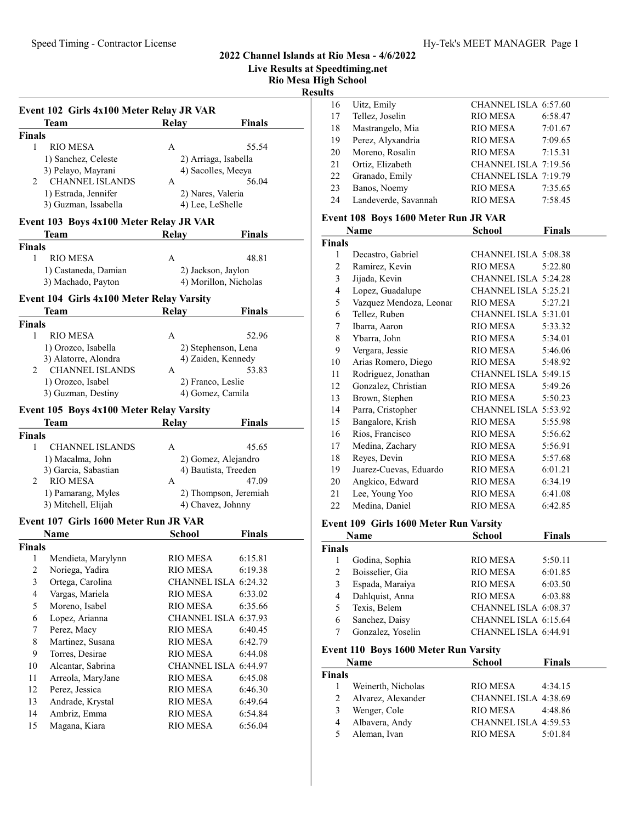Live Results at Speedtiming.net

Rio Mesa High School

Results

|                | Event 102 Girls 4x100 Meter Relay JR VAR<br>Team | Relay           | Finals                |
|----------------|--------------------------------------------------|-----------------|-----------------------|
| <b>Finals</b>  |                                                  |                 |                       |
| 1              | <b>RIO MESA</b>                                  | А               | 55.54                 |
|                | 1) Sanchez, Celeste                              |                 | 2) Arriaga, Isabella  |
|                | 3) Pelayo, Mayrani                               |                 | 4) Sacolles, Meeya    |
| 2              | <b>CHANNEL ISLANDS</b>                           | A               | 56.04                 |
|                | 1) Estrada, Jennifer                             |                 | 2) Nares, Valeria     |
|                | 3) Guzman, Issabella                             |                 | 4) Lee, LeShelle      |
|                | Event 103 Boys 4x100 Meter Relay JR VAR          |                 |                       |
|                | <b>Team</b>                                      | Relay           | Finals                |
| <b>Finals</b>  |                                                  |                 |                       |
| 1              | <b>RIO MESA</b>                                  | A               | 48.81                 |
|                | 1) Castaneda, Damian                             |                 | 2) Jackson, Jaylon    |
|                | 3) Machado, Payton                               |                 | 4) Morillon, Nicholas |
|                | Event 104 Girls 4x100 Meter Relay Varsity        |                 |                       |
|                | <b>Team</b>                                      | <b>Relay</b>    | <b>Finals</b>         |
| <b>Finals</b>  |                                                  |                 |                       |
| 1              | <b>RIO MESA</b>                                  | A               | 52.96                 |
|                | 1) Orozco, Isabella                              |                 | 2) Stephenson, Lena   |
|                | 3) Alatorre, Alondra                             |                 | 4) Zaiden, Kennedy    |
| 2              | <b>CHANNEL ISLANDS</b>                           | A               | 53.83                 |
|                | 1) Orozco, Isabel                                |                 | 2) Franco, Leslie     |
|                | 3) Guzman, Destiny                               |                 | 4) Gomez, Camila      |
|                |                                                  |                 |                       |
|                | Event 105 Boys 4x100 Meter Relay Varsity         |                 |                       |
|                | Team                                             | <b>Relay</b>    | <b>Finals</b>         |
| <b>Finals</b>  |                                                  |                 |                       |
| 1              | <b>CHANNEL ISLANDS</b>                           | A               | 45.65                 |
|                | 1) Macalma, John                                 |                 | 2) Gomez, Alejandro   |
|                | 3) Garcia, Sabastian                             |                 | 4) Bautista, Treeden  |
| 2              | <b>RIO MESA</b>                                  | A               | 47.09                 |
|                | 1) Pamarang, Myles                               |                 | 2) Thompson, Jeremiah |
|                | 3) Mitchell, Elijah                              |                 | 4) Chavez, Johnny     |
|                | Event 107 Girls 1600 Meter Run JR VAR            |                 |                       |
|                | Name                                             | School          | <b>Finals</b>         |
| <b>Finals</b>  |                                                  |                 |                       |
| 1              | Mendieta, Marylynn                               | RIO MESA        | 6:15.81               |
| $\overline{c}$ | Noriega, Yadira                                  | <b>RIO MESA</b> | 6:19.38               |
| $\mathfrak{Z}$ | Ortega, Carolina                                 |                 | CHANNEL ISLA 6:24.32  |
| 4              | Vargas, Mariela                                  | <b>RIO MESA</b> | 6:33.02               |
| 5              | Moreno, Isabel                                   | <b>RIO MESA</b> | 6:35.66               |
| 6              | Lopez, Arianna                                   |                 | CHANNEL ISLA 6:37.93  |
| 7              | Perez, Macy                                      | <b>RIO MESA</b> | 6:40.45               |
| 8              | Martinez, Susana                                 | <b>RIO MESA</b> | 6:42.79               |
| 9              | Torres, Desirae                                  | <b>RIO MESA</b> | 6:44.08               |
| 10             | Alcantar, Sabrina                                |                 | CHANNEL ISLA 6:44.97  |
| 11             | Arreola, MaryJane                                | <b>RIO MESA</b> | 6:45.08               |
| 12             | Perez, Jessica                                   | <b>RIO MESA</b> | 6:46.30               |
|                |                                                  |                 |                       |
| 13             | Andrade, Krystal                                 | <b>RIO MESA</b> | 6:49.64               |
| 14             | Ambriz, Emma                                     | RIO MESA        | 6:54.84               |
| 15             | Magana, Kiara                                    | <b>RIO MESA</b> | 6:56.04               |

| 16 | Uitz, Emily          | CHANNEL ISLA 6:57.60 |         |
|----|----------------------|----------------------|---------|
| 17 | Tellez, Joselin      | <b>RIO MESA</b>      | 6:58.47 |
| 18 | Mastrangelo, Mia     | <b>RIO MESA</b>      | 7:01.67 |
| 19 | Perez, Alyxandria    | <b>RIO MESA</b>      | 7:09.65 |
| 20 | Moreno, Rosalin      | <b>RIO MESA</b>      | 7:15.31 |
| 21 | Ortiz, Elizabeth     | CHANNEL ISLA 7:19.56 |         |
| 22 | Granado, Emily       | CHANNEL ISLA 7:19.79 |         |
| 23 | Banos, Noemy         | <b>RIO MESA</b>      | 7:35.65 |
| 24 | Landeverde, Savannah | <b>RIO MESA</b>      | 7:58.45 |
|    |                      |                      |         |

### Event 108 Boys 1600 Meter Run JR VAR

|               | Name                    | School               | <b>Finals</b> |
|---------------|-------------------------|----------------------|---------------|
| <b>Finals</b> |                         |                      |               |
| 1             | Decastro, Gabriel       | CHANNEL ISLA 5:08.38 |               |
| 2             | Ramirez, Kevin          | RIO MESA             | 5:22.80       |
| 3             | Jijada, Kevin           | CHANNEL ISLA 5:24.28 |               |
| 4             | Lopez, Guadalupe        | CHANNEL ISLA 5:25.21 |               |
| 5             | Vazquez Mendoza, Leonar | <b>RIO MESA</b>      | 5:27.21       |
| 6             | Tellez, Ruben           | CHANNEL ISLA 5:31.01 |               |
| 7             | Ibarra, Aaron           | RIO MESA             | 5:33.32       |
| 8             | Ybarra, John            | RIO MESA             | 5:34.01       |
| 9             | Vergara, Jessie         | RIO MESA             | 5:46.06       |
| 10            | Arias Romero, Diego     | RIO MESA             | 5:48.92       |
| 11            | Rodriguez, Jonathan     | CHANNEL ISLA 5:49.15 |               |
| 12            | Gonzalez, Christian     | <b>RIO MESA</b>      | 5:49.26       |
| 13            | Brown, Stephen          | RIO MESA             | 5:50.23       |
| 14            | Parra, Cristopher       | CHANNEL ISLA 5:53.92 |               |
| 15            | Bangalore, Krish        | <b>RIO MESA</b>      | 5:55.98       |
| 16            | Rios, Francisco         | <b>RIO MESA</b>      | 5:56.62       |
| 17            | Medina, Zachary         | RIO MESA             | 5:56.91       |
| 18            | Reyes, Devin            | <b>RIO MESA</b>      | 5:57.68       |
| 19            | Juarez-Cuevas, Eduardo  | RIO MESA             | 6:01.21       |
| 20            | Angkico, Edward         | <b>RIO MESA</b>      | 6:34.19       |
| 21            | Lee, Young Yoo          | <b>RIO MESA</b>      | 6:41.08       |
| 22            | Medina, Daniel          | <b>RIO MESA</b>      | 6:42.85       |
|               |                         |                      |               |

#### Event 109 Girls 1600 Meter Run Varsity

|               | <b>Name</b>       | <b>School</b>        | <b>Finals</b> |
|---------------|-------------------|----------------------|---------------|
| <b>Finals</b> |                   |                      |               |
|               | Godina, Sophia    | <b>RIO MESA</b>      | 5:50.11       |
| 2             | Boisselier, Gia   | <b>RIO MESA</b>      | 6:01.85       |
| 3             | Espada, Maraiya   | <b>RIO MESA</b>      | 6:03.50       |
| 4             | Dahlquist, Anna   | <b>RIO MESA</b>      | 6:03.88       |
| 5             | Texis, Belem      | CHANNEL ISLA 6:08.37 |               |
| 6             | Sanchez, Daisy    | CHANNEL ISLA 6:15.64 |               |
|               | Gonzalez, Yoselin | CHANNEL ISLA 6:44.91 |               |

### Event 110 Boys 1600 Meter Run Varsity

|               | Name               | <b>School</b>        | <b>Finals</b> |
|---------------|--------------------|----------------------|---------------|
| <b>Finals</b> |                    |                      |               |
|               | Weinerth, Nicholas | <b>RIO MESA</b>      | 4:34.15       |
| 2             | Alvarez, Alexander | CHANNEL ISLA 4:38.69 |               |
| 3             | Wenger, Cole       | RIO MESA             | 4:48.86       |
| 4             | Albavera, Andy     | CHANNEL ISLA 4:59.53 |               |
| 5             | Aleman, Ivan       | RIO MESA             | 5:01.84       |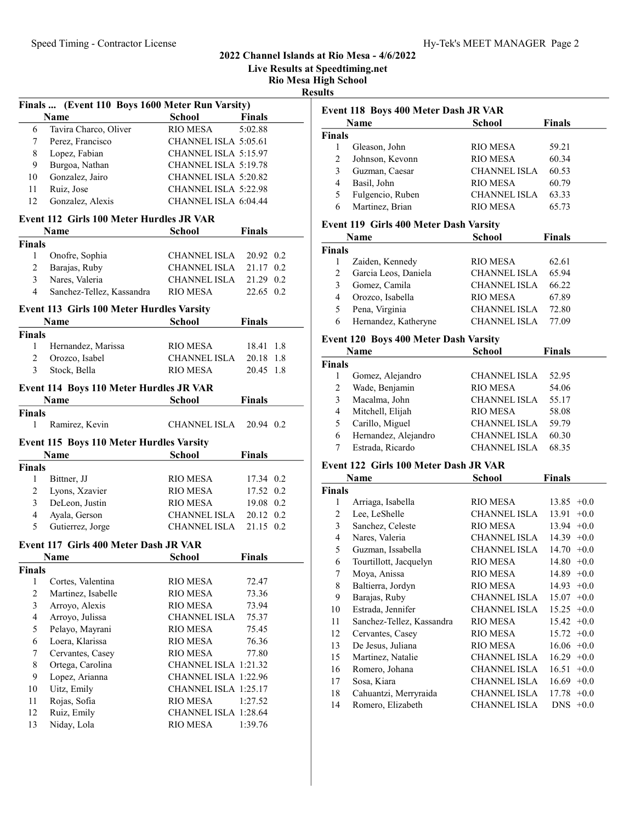Live Results at Speedtiming.net

Rio Mesa High School

Results

| <b>School</b><br><b>Name</b><br><b>Finals</b><br>Tavira Charco, Oliver<br><b>RIO MESA</b><br>5:02.88<br>6<br>Perez, Francisco<br>CHANNEL ISLA 5:05.61<br>7<br>Lopez, Fabian<br>8<br>CHANNEL ISLA 5:15.97<br>Burgoa, Nathan<br>9<br>CHANNEL ISLA 5:19.78<br>Gonzalez, Jairo<br>10<br>CHANNEL ISLA 5:20.82<br>Ruiz, Jose<br>CHANNEL ISLA 5:22.98<br>11<br>12<br>Gonzalez, Alexis<br>CHANNEL ISLA 6:04.44<br><b>Event 112 Girls 100 Meter Hurdles JR VAR</b><br>Name<br>School<br><b>Finals</b><br><b>Finals</b><br>1<br>Onofre, Sophia<br>CHANNEL ISLA<br>20.92 0.2<br>$\overline{2}$<br>Barajas, Ruby<br>CHANNEL ISLA<br>21.17 0.2<br>Nares, Valeria<br>3<br><b>CHANNEL ISLA</b><br>21.29 0.2<br>4<br>Sanchez-Tellez, Kassandra<br>RIO MESA<br>22.65 0.2<br><b>Event 113 Girls 100 Meter Hurdles Varsity</b><br><b>Finals</b><br>Name<br><b>School</b><br><b>Finals</b><br>1<br>Hernandez, Marissa<br>RIO MESA<br>18.41 1.8<br>$\overline{c}$<br>Orozco, Isabel<br><b>CHANNEL ISLA</b><br>20.18 1.8<br>Stock, Bella<br>3<br><b>RIO MESA</b><br>20.45 1.8<br>Event 114 Boys 110 Meter Hurdles JR VAR<br><b>Name</b><br><b>Finals</b><br><b>School</b><br><b>Finals</b><br>$\mathbf{1}$<br>CHANNEL ISLA<br>Ramirez, Kevin<br>20.94 0.2<br>Event 115 Boys 110 Meter Hurdles Varsity<br><b>Name</b><br>School<br><b>Finals</b><br><b>Finals</b><br>17.34 0.2<br>1<br>Bittner, JJ<br>RIO MESA<br>Lyons, Xzavier<br><b>RIO MESA</b><br>17.52 0.2<br>2<br>DeLeon, Justin<br>3<br>19.08 0.2<br><b>RIO MESA</b><br>$\overline{4}$<br>Ayala, Gerson<br><b>CHANNEL ISLA</b><br>20.12 0.2<br>5<br>Gutierrez, Jorge<br>CHANNEL ISLA<br>21.15 0.2 |               | Finals  (Event 110 Boys 1600 Meter Run Varsity) |  |  |  |  |  |
|------------------------------------------------------------------------------------------------------------------------------------------------------------------------------------------------------------------------------------------------------------------------------------------------------------------------------------------------------------------------------------------------------------------------------------------------------------------------------------------------------------------------------------------------------------------------------------------------------------------------------------------------------------------------------------------------------------------------------------------------------------------------------------------------------------------------------------------------------------------------------------------------------------------------------------------------------------------------------------------------------------------------------------------------------------------------------------------------------------------------------------------------------------------------------------------------------------------------------------------------------------------------------------------------------------------------------------------------------------------------------------------------------------------------------------------------------------------------------------------------------------------------------------------------------------------------------------------------------------------------------------|---------------|-------------------------------------------------|--|--|--|--|--|
|                                                                                                                                                                                                                                                                                                                                                                                                                                                                                                                                                                                                                                                                                                                                                                                                                                                                                                                                                                                                                                                                                                                                                                                                                                                                                                                                                                                                                                                                                                                                                                                                                                    |               |                                                 |  |  |  |  |  |
|                                                                                                                                                                                                                                                                                                                                                                                                                                                                                                                                                                                                                                                                                                                                                                                                                                                                                                                                                                                                                                                                                                                                                                                                                                                                                                                                                                                                                                                                                                                                                                                                                                    |               |                                                 |  |  |  |  |  |
|                                                                                                                                                                                                                                                                                                                                                                                                                                                                                                                                                                                                                                                                                                                                                                                                                                                                                                                                                                                                                                                                                                                                                                                                                                                                                                                                                                                                                                                                                                                                                                                                                                    |               |                                                 |  |  |  |  |  |
|                                                                                                                                                                                                                                                                                                                                                                                                                                                                                                                                                                                                                                                                                                                                                                                                                                                                                                                                                                                                                                                                                                                                                                                                                                                                                                                                                                                                                                                                                                                                                                                                                                    |               |                                                 |  |  |  |  |  |
|                                                                                                                                                                                                                                                                                                                                                                                                                                                                                                                                                                                                                                                                                                                                                                                                                                                                                                                                                                                                                                                                                                                                                                                                                                                                                                                                                                                                                                                                                                                                                                                                                                    |               |                                                 |  |  |  |  |  |
|                                                                                                                                                                                                                                                                                                                                                                                                                                                                                                                                                                                                                                                                                                                                                                                                                                                                                                                                                                                                                                                                                                                                                                                                                                                                                                                                                                                                                                                                                                                                                                                                                                    |               |                                                 |  |  |  |  |  |
|                                                                                                                                                                                                                                                                                                                                                                                                                                                                                                                                                                                                                                                                                                                                                                                                                                                                                                                                                                                                                                                                                                                                                                                                                                                                                                                                                                                                                                                                                                                                                                                                                                    |               |                                                 |  |  |  |  |  |
|                                                                                                                                                                                                                                                                                                                                                                                                                                                                                                                                                                                                                                                                                                                                                                                                                                                                                                                                                                                                                                                                                                                                                                                                                                                                                                                                                                                                                                                                                                                                                                                                                                    |               |                                                 |  |  |  |  |  |
|                                                                                                                                                                                                                                                                                                                                                                                                                                                                                                                                                                                                                                                                                                                                                                                                                                                                                                                                                                                                                                                                                                                                                                                                                                                                                                                                                                                                                                                                                                                                                                                                                                    |               |                                                 |  |  |  |  |  |
|                                                                                                                                                                                                                                                                                                                                                                                                                                                                                                                                                                                                                                                                                                                                                                                                                                                                                                                                                                                                                                                                                                                                                                                                                                                                                                                                                                                                                                                                                                                                                                                                                                    |               |                                                 |  |  |  |  |  |
|                                                                                                                                                                                                                                                                                                                                                                                                                                                                                                                                                                                                                                                                                                                                                                                                                                                                                                                                                                                                                                                                                                                                                                                                                                                                                                                                                                                                                                                                                                                                                                                                                                    |               |                                                 |  |  |  |  |  |
|                                                                                                                                                                                                                                                                                                                                                                                                                                                                                                                                                                                                                                                                                                                                                                                                                                                                                                                                                                                                                                                                                                                                                                                                                                                                                                                                                                                                                                                                                                                                                                                                                                    |               |                                                 |  |  |  |  |  |
|                                                                                                                                                                                                                                                                                                                                                                                                                                                                                                                                                                                                                                                                                                                                                                                                                                                                                                                                                                                                                                                                                                                                                                                                                                                                                                                                                                                                                                                                                                                                                                                                                                    |               |                                                 |  |  |  |  |  |
|                                                                                                                                                                                                                                                                                                                                                                                                                                                                                                                                                                                                                                                                                                                                                                                                                                                                                                                                                                                                                                                                                                                                                                                                                                                                                                                                                                                                                                                                                                                                                                                                                                    |               |                                                 |  |  |  |  |  |
|                                                                                                                                                                                                                                                                                                                                                                                                                                                                                                                                                                                                                                                                                                                                                                                                                                                                                                                                                                                                                                                                                                                                                                                                                                                                                                                                                                                                                                                                                                                                                                                                                                    |               |                                                 |  |  |  |  |  |
|                                                                                                                                                                                                                                                                                                                                                                                                                                                                                                                                                                                                                                                                                                                                                                                                                                                                                                                                                                                                                                                                                                                                                                                                                                                                                                                                                                                                                                                                                                                                                                                                                                    |               |                                                 |  |  |  |  |  |
|                                                                                                                                                                                                                                                                                                                                                                                                                                                                                                                                                                                                                                                                                                                                                                                                                                                                                                                                                                                                                                                                                                                                                                                                                                                                                                                                                                                                                                                                                                                                                                                                                                    |               |                                                 |  |  |  |  |  |
|                                                                                                                                                                                                                                                                                                                                                                                                                                                                                                                                                                                                                                                                                                                                                                                                                                                                                                                                                                                                                                                                                                                                                                                                                                                                                                                                                                                                                                                                                                                                                                                                                                    |               |                                                 |  |  |  |  |  |
|                                                                                                                                                                                                                                                                                                                                                                                                                                                                                                                                                                                                                                                                                                                                                                                                                                                                                                                                                                                                                                                                                                                                                                                                                                                                                                                                                                                                                                                                                                                                                                                                                                    |               |                                                 |  |  |  |  |  |
|                                                                                                                                                                                                                                                                                                                                                                                                                                                                                                                                                                                                                                                                                                                                                                                                                                                                                                                                                                                                                                                                                                                                                                                                                                                                                                                                                                                                                                                                                                                                                                                                                                    |               |                                                 |  |  |  |  |  |
|                                                                                                                                                                                                                                                                                                                                                                                                                                                                                                                                                                                                                                                                                                                                                                                                                                                                                                                                                                                                                                                                                                                                                                                                                                                                                                                                                                                                                                                                                                                                                                                                                                    |               |                                                 |  |  |  |  |  |
|                                                                                                                                                                                                                                                                                                                                                                                                                                                                                                                                                                                                                                                                                                                                                                                                                                                                                                                                                                                                                                                                                                                                                                                                                                                                                                                                                                                                                                                                                                                                                                                                                                    |               |                                                 |  |  |  |  |  |
|                                                                                                                                                                                                                                                                                                                                                                                                                                                                                                                                                                                                                                                                                                                                                                                                                                                                                                                                                                                                                                                                                                                                                                                                                                                                                                                                                                                                                                                                                                                                                                                                                                    |               |                                                 |  |  |  |  |  |
|                                                                                                                                                                                                                                                                                                                                                                                                                                                                                                                                                                                                                                                                                                                                                                                                                                                                                                                                                                                                                                                                                                                                                                                                                                                                                                                                                                                                                                                                                                                                                                                                                                    |               |                                                 |  |  |  |  |  |
|                                                                                                                                                                                                                                                                                                                                                                                                                                                                                                                                                                                                                                                                                                                                                                                                                                                                                                                                                                                                                                                                                                                                                                                                                                                                                                                                                                                                                                                                                                                                                                                                                                    |               |                                                 |  |  |  |  |  |
|                                                                                                                                                                                                                                                                                                                                                                                                                                                                                                                                                                                                                                                                                                                                                                                                                                                                                                                                                                                                                                                                                                                                                                                                                                                                                                                                                                                                                                                                                                                                                                                                                                    |               |                                                 |  |  |  |  |  |
|                                                                                                                                                                                                                                                                                                                                                                                                                                                                                                                                                                                                                                                                                                                                                                                                                                                                                                                                                                                                                                                                                                                                                                                                                                                                                                                                                                                                                                                                                                                                                                                                                                    |               |                                                 |  |  |  |  |  |
|                                                                                                                                                                                                                                                                                                                                                                                                                                                                                                                                                                                                                                                                                                                                                                                                                                                                                                                                                                                                                                                                                                                                                                                                                                                                                                                                                                                                                                                                                                                                                                                                                                    |               |                                                 |  |  |  |  |  |
|                                                                                                                                                                                                                                                                                                                                                                                                                                                                                                                                                                                                                                                                                                                                                                                                                                                                                                                                                                                                                                                                                                                                                                                                                                                                                                                                                                                                                                                                                                                                                                                                                                    |               |                                                 |  |  |  |  |  |
|                                                                                                                                                                                                                                                                                                                                                                                                                                                                                                                                                                                                                                                                                                                                                                                                                                                                                                                                                                                                                                                                                                                                                                                                                                                                                                                                                                                                                                                                                                                                                                                                                                    |               |                                                 |  |  |  |  |  |
|                                                                                                                                                                                                                                                                                                                                                                                                                                                                                                                                                                                                                                                                                                                                                                                                                                                                                                                                                                                                                                                                                                                                                                                                                                                                                                                                                                                                                                                                                                                                                                                                                                    |               |                                                 |  |  |  |  |  |
|                                                                                                                                                                                                                                                                                                                                                                                                                                                                                                                                                                                                                                                                                                                                                                                                                                                                                                                                                                                                                                                                                                                                                                                                                                                                                                                                                                                                                                                                                                                                                                                                                                    |               |                                                 |  |  |  |  |  |
|                                                                                                                                                                                                                                                                                                                                                                                                                                                                                                                                                                                                                                                                                                                                                                                                                                                                                                                                                                                                                                                                                                                                                                                                                                                                                                                                                                                                                                                                                                                                                                                                                                    |               |                                                 |  |  |  |  |  |
|                                                                                                                                                                                                                                                                                                                                                                                                                                                                                                                                                                                                                                                                                                                                                                                                                                                                                                                                                                                                                                                                                                                                                                                                                                                                                                                                                                                                                                                                                                                                                                                                                                    |               |                                                 |  |  |  |  |  |
| <b>Name</b><br><b>Finals</b><br>School                                                                                                                                                                                                                                                                                                                                                                                                                                                                                                                                                                                                                                                                                                                                                                                                                                                                                                                                                                                                                                                                                                                                                                                                                                                                                                                                                                                                                                                                                                                                                                                             |               | Event 117 Girls 400 Meter Dash JR VAR           |  |  |  |  |  |
|                                                                                                                                                                                                                                                                                                                                                                                                                                                                                                                                                                                                                                                                                                                                                                                                                                                                                                                                                                                                                                                                                                                                                                                                                                                                                                                                                                                                                                                                                                                                                                                                                                    |               |                                                 |  |  |  |  |  |
| <b>RIO MESA</b><br>$\mathbf{1}$<br>Cortes, Valentina<br>72.47                                                                                                                                                                                                                                                                                                                                                                                                                                                                                                                                                                                                                                                                                                                                                                                                                                                                                                                                                                                                                                                                                                                                                                                                                                                                                                                                                                                                                                                                                                                                                                      | <b>Finals</b> |                                                 |  |  |  |  |  |
|                                                                                                                                                                                                                                                                                                                                                                                                                                                                                                                                                                                                                                                                                                                                                                                                                                                                                                                                                                                                                                                                                                                                                                                                                                                                                                                                                                                                                                                                                                                                                                                                                                    |               |                                                 |  |  |  |  |  |
| $\overline{2}$<br><b>RIO MESA</b><br>73.36                                                                                                                                                                                                                                                                                                                                                                                                                                                                                                                                                                                                                                                                                                                                                                                                                                                                                                                                                                                                                                                                                                                                                                                                                                                                                                                                                                                                                                                                                                                                                                                         |               |                                                 |  |  |  |  |  |
| Martinez, Isabelle<br>3<br>RIO MESA<br>73.94                                                                                                                                                                                                                                                                                                                                                                                                                                                                                                                                                                                                                                                                                                                                                                                                                                                                                                                                                                                                                                                                                                                                                                                                                                                                                                                                                                                                                                                                                                                                                                                       |               |                                                 |  |  |  |  |  |
| Arroyo, Alexis<br>4<br>75.37                                                                                                                                                                                                                                                                                                                                                                                                                                                                                                                                                                                                                                                                                                                                                                                                                                                                                                                                                                                                                                                                                                                                                                                                                                                                                                                                                                                                                                                                                                                                                                                                       |               |                                                 |  |  |  |  |  |
| Arroyo, Julissa<br>CHANNEL ISLA<br>RIO MESA                                                                                                                                                                                                                                                                                                                                                                                                                                                                                                                                                                                                                                                                                                                                                                                                                                                                                                                                                                                                                                                                                                                                                                                                                                                                                                                                                                                                                                                                                                                                                                                        |               |                                                 |  |  |  |  |  |
| 5<br>Pelayo, Mayrani<br>75.45<br>6<br>RIO MESA<br>76.36                                                                                                                                                                                                                                                                                                                                                                                                                                                                                                                                                                                                                                                                                                                                                                                                                                                                                                                                                                                                                                                                                                                                                                                                                                                                                                                                                                                                                                                                                                                                                                            |               |                                                 |  |  |  |  |  |
| Loera, Klarissa                                                                                                                                                                                                                                                                                                                                                                                                                                                                                                                                                                                                                                                                                                                                                                                                                                                                                                                                                                                                                                                                                                                                                                                                                                                                                                                                                                                                                                                                                                                                                                                                                    |               |                                                 |  |  |  |  |  |
| 7<br>Cervantes, Casey<br><b>RIO MESA</b><br>77.80<br>8<br>CHANNEL ISLA 1:21.32                                                                                                                                                                                                                                                                                                                                                                                                                                                                                                                                                                                                                                                                                                                                                                                                                                                                                                                                                                                                                                                                                                                                                                                                                                                                                                                                                                                                                                                                                                                                                     |               |                                                 |  |  |  |  |  |
| Ortega, Carolina                                                                                                                                                                                                                                                                                                                                                                                                                                                                                                                                                                                                                                                                                                                                                                                                                                                                                                                                                                                                                                                                                                                                                                                                                                                                                                                                                                                                                                                                                                                                                                                                                   |               |                                                 |  |  |  |  |  |
| 9<br>Lopez, Arianna<br>CHANNEL ISLA 1:22.96<br>10<br>CHANNEL ISLA 1:25.17                                                                                                                                                                                                                                                                                                                                                                                                                                                                                                                                                                                                                                                                                                                                                                                                                                                                                                                                                                                                                                                                                                                                                                                                                                                                                                                                                                                                                                                                                                                                                          |               |                                                 |  |  |  |  |  |
| Uitz, Emily                                                                                                                                                                                                                                                                                                                                                                                                                                                                                                                                                                                                                                                                                                                                                                                                                                                                                                                                                                                                                                                                                                                                                                                                                                                                                                                                                                                                                                                                                                                                                                                                                        |               |                                                 |  |  |  |  |  |
| Rojas, Sofia<br>11<br><b>RIO MESA</b><br>1:27.52<br>12                                                                                                                                                                                                                                                                                                                                                                                                                                                                                                                                                                                                                                                                                                                                                                                                                                                                                                                                                                                                                                                                                                                                                                                                                                                                                                                                                                                                                                                                                                                                                                             |               |                                                 |  |  |  |  |  |
|                                                                                                                                                                                                                                                                                                                                                                                                                                                                                                                                                                                                                                                                                                                                                                                                                                                                                                                                                                                                                                                                                                                                                                                                                                                                                                                                                                                                                                                                                                                                                                                                                                    |               |                                                 |  |  |  |  |  |
|                                                                                                                                                                                                                                                                                                                                                                                                                                                                                                                                                                                                                                                                                                                                                                                                                                                                                                                                                                                                                                                                                                                                                                                                                                                                                                                                                                                                                                                                                                                                                                                                                                    |               |                                                 |  |  |  |  |  |
|                                                                                                                                                                                                                                                                                                                                                                                                                                                                                                                                                                                                                                                                                                                                                                                                                                                                                                                                                                                                                                                                                                                                                                                                                                                                                                                                                                                                                                                                                                                                                                                                                                    |               |                                                 |  |  |  |  |  |
|                                                                                                                                                                                                                                                                                                                                                                                                                                                                                                                                                                                                                                                                                                                                                                                                                                                                                                                                                                                                                                                                                                                                                                                                                                                                                                                                                                                                                                                                                                                                                                                                                                    |               |                                                 |  |  |  |  |  |
|                                                                                                                                                                                                                                                                                                                                                                                                                                                                                                                                                                                                                                                                                                                                                                                                                                                                                                                                                                                                                                                                                                                                                                                                                                                                                                                                                                                                                                                                                                                                                                                                                                    |               |                                                 |  |  |  |  |  |
|                                                                                                                                                                                                                                                                                                                                                                                                                                                                                                                                                                                                                                                                                                                                                                                                                                                                                                                                                                                                                                                                                                                                                                                                                                                                                                                                                                                                                                                                                                                                                                                                                                    |               |                                                 |  |  |  |  |  |
|                                                                                                                                                                                                                                                                                                                                                                                                                                                                                                                                                                                                                                                                                                                                                                                                                                                                                                                                                                                                                                                                                                                                                                                                                                                                                                                                                                                                                                                                                                                                                                                                                                    |               |                                                 |  |  |  |  |  |
|                                                                                                                                                                                                                                                                                                                                                                                                                                                                                                                                                                                                                                                                                                                                                                                                                                                                                                                                                                                                                                                                                                                                                                                                                                                                                                                                                                                                                                                                                                                                                                                                                                    |               |                                                 |  |  |  |  |  |
|                                                                                                                                                                                                                                                                                                                                                                                                                                                                                                                                                                                                                                                                                                                                                                                                                                                                                                                                                                                                                                                                                                                                                                                                                                                                                                                                                                                                                                                                                                                                                                                                                                    |               |                                                 |  |  |  |  |  |
|                                                                                                                                                                                                                                                                                                                                                                                                                                                                                                                                                                                                                                                                                                                                                                                                                                                                                                                                                                                                                                                                                                                                                                                                                                                                                                                                                                                                                                                                                                                                                                                                                                    |               |                                                 |  |  |  |  |  |
|                                                                                                                                                                                                                                                                                                                                                                                                                                                                                                                                                                                                                                                                                                                                                                                                                                                                                                                                                                                                                                                                                                                                                                                                                                                                                                                                                                                                                                                                                                                                                                                                                                    |               |                                                 |  |  |  |  |  |
|                                                                                                                                                                                                                                                                                                                                                                                                                                                                                                                                                                                                                                                                                                                                                                                                                                                                                                                                                                                                                                                                                                                                                                                                                                                                                                                                                                                                                                                                                                                                                                                                                                    |               |                                                 |  |  |  |  |  |
|                                                                                                                                                                                                                                                                                                                                                                                                                                                                                                                                                                                                                                                                                                                                                                                                                                                                                                                                                                                                                                                                                                                                                                                                                                                                                                                                                                                                                                                                                                                                                                                                                                    |               |                                                 |  |  |  |  |  |
|                                                                                                                                                                                                                                                                                                                                                                                                                                                                                                                                                                                                                                                                                                                                                                                                                                                                                                                                                                                                                                                                                                                                                                                                                                                                                                                                                                                                                                                                                                                                                                                                                                    |               |                                                 |  |  |  |  |  |
|                                                                                                                                                                                                                                                                                                                                                                                                                                                                                                                                                                                                                                                                                                                                                                                                                                                                                                                                                                                                                                                                                                                                                                                                                                                                                                                                                                                                                                                                                                                                                                                                                                    |               |                                                 |  |  |  |  |  |
|                                                                                                                                                                                                                                                                                                                                                                                                                                                                                                                                                                                                                                                                                                                                                                                                                                                                                                                                                                                                                                                                                                                                                                                                                                                                                                                                                                                                                                                                                                                                                                                                                                    |               |                                                 |  |  |  |  |  |
| Ruiz, Emily<br>CHANNEL ISLA 1:28.64<br>Niday, Lola                                                                                                                                                                                                                                                                                                                                                                                                                                                                                                                                                                                                                                                                                                                                                                                                                                                                                                                                                                                                                                                                                                                                                                                                                                                                                                                                                                                                                                                                                                                                                                                 |               |                                                 |  |  |  |  |  |

|               | <b>Name</b>      | <b>School</b>       | <b>Finals</b> |
|---------------|------------------|---------------------|---------------|
| <b>Finals</b> |                  |                     |               |
|               | Gleason, John    | RIO MESA            | 59.21         |
| 2             | Johnson, Kevonn  | <b>RIO MESA</b>     | 60.34         |
| 3             | Guzman, Caesar   | <b>CHANNEL ISLA</b> | 60.53         |
| 4             | Basil, John      | RIO MESA            | 60.79         |
| 5             | Fulgencio, Ruben | <b>CHANNEL ISLA</b> | 63.33         |
| 6             | Martinez, Brian  | <b>RIO MESA</b>     | 65.73         |

#### Event 119 Girls 400 Meter Dash Varsity

|               | Name                 | <b>School</b>       | <b>Finals</b> |
|---------------|----------------------|---------------------|---------------|
| <b>Finals</b> |                      |                     |               |
|               | Zaiden, Kennedy      | <b>RIO MESA</b>     | 62.61         |
| 2             | Garcia Leos, Daniela | <b>CHANNEL ISLA</b> | 65.94         |
| 3             | Gomez, Camila        | CHANNEL ISLA        | 66.22         |
| 4             | Orozco, Isabella     | <b>RIO MESA</b>     | 67.89         |
| 5             | Pena, Virginia       | <b>CHANNEL ISLA</b> | 72.80         |
| 6             | Hernandez, Katheryne | <b>CHANNEL ISLA</b> | 77.09         |
|               |                      |                     |               |

# Event 120 Boys 400 Meter Dash Varsity

|               | Name                 | <b>School</b>       | <b>Finals</b> |
|---------------|----------------------|---------------------|---------------|
| <b>Finals</b> |                      |                     |               |
|               | Gomez, Alejandro     | <b>CHANNEL ISLA</b> | 52.95         |
| 2             | Wade, Benjamin       | <b>RIO MESA</b>     | 54.06         |
| 3             | Macalma, John        | <b>CHANNEL ISLA</b> | 55.17         |
| 4             | Mitchell, Elijah     | RIO MESA            | 58.08         |
| 5             | Carillo, Miguel      | <b>CHANNEL ISLA</b> | 59.79         |
| 6             | Hernandez, Alejandro | <b>CHANNEL ISLA</b> | 60.30         |
|               | Estrada, Ricardo     | <b>CHANNEL ISLA</b> | 68.35         |

# Event 122 Girls 100 Meter Dash JR VAR

|               | Name                      | School              | <b>Finals</b>        |
|---------------|---------------------------|---------------------|----------------------|
| <b>Finals</b> |                           |                     |                      |
| 1             | Arriaga, Isabella         | RIO MESA            | 13.85<br>$+0.0$      |
| 2             | Lee, LeShelle             | CHANNEL ISLA        | 13.91<br>$+0.0$      |
| 3             | Sanchez, Celeste          | RIO MESA            | 13.94<br>$+0.0$      |
| 4             | Nares, Valeria            | CHANNEL ISLA        | 14.39<br>$+0.0$      |
| 5             | Guzman, Issabella         | CHANNEL ISLA        | 14.70<br>$+0.0$      |
| 6             | Tourtillott, Jacquelyn    | RIO MESA            | 14.80<br>$+0.0$      |
| 7             | Moya, Anissa              | RIO MESA            | 14.89<br>$+0.0$      |
| 8             | Baltierra, Jordyn         | RIO MESA            | 14.93<br>$+0.0$      |
| 9             | Barajas, Ruby             | <b>CHANNEL ISLA</b> | 15.07<br>$+0.0$      |
| 10            | Estrada, Jennifer         | CHANNEL ISLA        | 15.25<br>$+0.0$      |
| 11            | Sanchez-Tellez, Kassandra | RIO MESA            | 15.42<br>$+0.0$      |
| 12            | Cervantes, Casey          | RIO MESA            | 15.72<br>$+0.0$      |
| 13            | De Jesus, Juliana         | RIO MESA            | 16.06<br>$+0.0$      |
| 15            | Martinez, Natalie         | CHANNEL ISLA        | 16.29<br>$+0.0$      |
| 16            | Romero, Johana            | CHANNEL ISLA        | 16.51<br>$+0.0$      |
| 17            | Sosa, Kiara               | <b>CHANNEL ISLA</b> | 16.69<br>$+0.0$      |
| 18            | Cahuantzi, Merryraida     | <b>CHANNEL ISLA</b> | 17.78<br>$+0.0$      |
| 14            | Romero, Elizabeth         | <b>CHANNEL ISLA</b> | <b>DNS</b><br>$+0.0$ |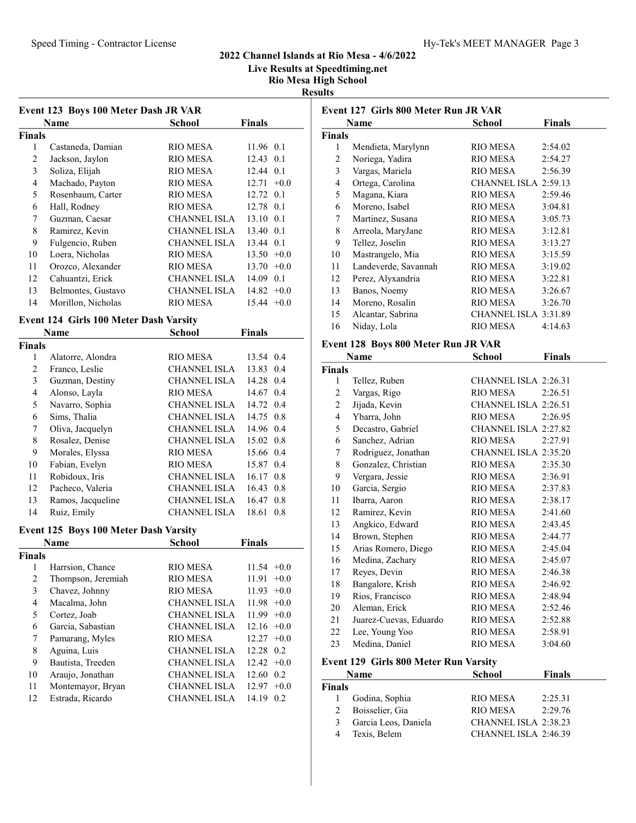Live Results at Speedtiming.net

# Results

| Event 123 Boys 100 Meter Dash JR VAR          |                                                           |                     |                      |  |  |
|-----------------------------------------------|-----------------------------------------------------------|---------------------|----------------------|--|--|
|                                               | Name                                                      | <b>School</b>       | Finals               |  |  |
| <b>Finals</b>                                 |                                                           |                     |                      |  |  |
| 1                                             | Castaneda, Damian                                         | RIO MESA            | 11.96<br>0.1         |  |  |
| $\overline{2}$                                | Jackson, Jaylon                                           | <b>RIO MESA</b>     | 12.43<br>0.1         |  |  |
| 3                                             | Soliza, Elijah                                            | RIO MESA            | 0.1<br>12.44         |  |  |
| $\overline{4}$                                | Machado, Payton                                           | <b>RIO MESA</b>     | $+0.0$<br>12.71      |  |  |
| 5                                             | Rosenbaum, Carter                                         | <b>RIO MESA</b>     | 12.72<br>0.1         |  |  |
| 6                                             | Hall, Rodney                                              | RIO MESA            | 12.78<br>0.1         |  |  |
| 7                                             | Guzman, Caesar                                            | <b>CHANNEL ISLA</b> | 13.10<br>0.1         |  |  |
| 8                                             | Ramirez, Kevin                                            | <b>CHANNEL ISLA</b> | 13.40<br>0.1         |  |  |
| 9                                             | Fulgencio, Ruben                                          | <b>CHANNEL ISLA</b> | 0.1<br>13.44         |  |  |
| 10                                            | Loera, Nicholas                                           | <b>RIO MESA</b>     | 13.50<br>$+0.0$      |  |  |
| 11                                            | Orozco, Alexander                                         | RIO MESA            | 13.70<br>$+0.0$      |  |  |
| 12                                            | Cahuantzi, Erick                                          | <b>CHANNEL ISLA</b> | 14.09<br>0.1         |  |  |
| 13                                            | Belmontes, Gustavo                                        | <b>CHANNEL ISLA</b> | 14.82<br>$+0.0$      |  |  |
| 14                                            | Morillon, Nicholas                                        | <b>RIO MESA</b>     | 15.44<br>$+0.0$      |  |  |
| <b>Event 124 Girls 100 Meter Dash Varsity</b> |                                                           |                     |                      |  |  |
|                                               | Name                                                      | <b>School</b>       | <b>Finals</b>        |  |  |
| <b>Finals</b>                                 |                                                           |                     |                      |  |  |
| 1                                             | Alatorre, Alondra                                         | <b>RIO MESA</b>     | 13.54<br>0.4         |  |  |
| 2                                             | Franco, Leslie                                            | <b>CHANNEL ISLA</b> | 0.4<br>13.83         |  |  |
| 3                                             | Guzman, Destiny                                           | <b>CHANNEL ISLA</b> | 14.28<br>0.4         |  |  |
| $\overline{4}$                                | Alonso, Layla                                             | RIO MESA            | 14.67<br>0.4         |  |  |
| Е                                             | $\mathbf{M}_{\text{source}}$ $\mathbf{C}_{\text{target}}$ | CITANDIDI JOLA      | $14.72 \quad \Omega$ |  |  |

|    | Name                                   | School              | Finals        |        |
|----|----------------------------------------|---------------------|---------------|--------|
|    | vent 124  Girls 100 Meter Dash Varsitv |                     |               |        |
| 14 | Morillon, Nicholas                     | <b>RIO MESA</b>     | $15.44 +0.0$  |        |
| 13 | Belmontes, Gustavo                     | <b>CHANNEL ISLA</b> | $14.82 +0.0$  |        |
| 12 | Cahuantzi, Erick                       | <b>CHANNEL ISLA</b> | $14.09$ 0.1   |        |
| 11 | Orozco, Alexander                      | <b>RIO MESA</b>     | $13.70 +0.0$  |        |
| 10 | Loera, Nicholas                        | RIO MESA            | $13.50 + 0.0$ |        |
| 9  | Fulgencio, Ruben                       | <b>CHANNEL ISLA</b> | 13.44 0.1     |        |
| 8  | Ramirez, Kevin                         | <b>CHANNEL ISLA</b> | 13.40 0.1     |        |
| 7  | Guzman, Caesar                         | <b>CHANNEL ISLA</b> | 13.10 0.1     |        |
| 6  | Hall, Rodney                           | RIO MESA            | 12.78 0.1     |        |
| 5  | Rosenbaum, Carter                      | RIO MESA            | 12.72 0.1     |        |
| 4  | Machado, Payton                        | <b>RIO MESA</b>     | 12.71         | $+0.0$ |
| 3  | Soliza, Elijah                         | RIO MESA            | 12.44 0.1     |        |
| 2  | Jackson, Jaylon                        | <b>RIO MESA</b>     | 12.43 0.1     |        |

| Finals |                   |                     |              |
|--------|-------------------|---------------------|--------------|
| 1      | Alatorre, Alondra | <b>RIO MESA</b>     | 13.54 0.4    |
| 2      | Franco, Leslie    | <b>CHANNEL ISLA</b> | 13.83<br>0.4 |
| 3      | Guzman, Destiny   | <b>CHANNEL ISLA</b> | 14.28<br>0.4 |
| 4      | Alonso, Layla     | RIO MESA            | 14.67 0.4    |
| 5      | Navarro, Sophia   | <b>CHANNEL ISLA</b> | 14.72 0.4    |
| 6      | Sims, Thalia      | <b>CHANNEL ISLA</b> | 14.75 0.8    |
| 7      | Oliva, Jacquelyn  | <b>CHANNEL ISLA</b> | 14.96 0.4    |
| 8      | Rosalez, Denise   | <b>CHANNEL ISLA</b> | 15.02 0.8    |
| 9      | Morales, Elyssa   | RIO MESA            | 15.66 0.4    |
| 10     | Fabian, Evelyn    | RIO MESA            | 15.87<br>0.4 |
| 11     | Robidoux, Iris    | <b>CHANNEL ISLA</b> | 16.17<br>0.8 |
| 12     | Pacheco, Valeria  | <b>CHANNEL ISLA</b> | 16.43<br>0.8 |
| 13     | Ramos, Jacqueline | <b>CHANNEL ISLA</b> | 16.47<br>0.8 |
| 14     | Ruiz, Emily       | <b>CHANNEL ISLA</b> | 18.61<br>0.8 |

### Event 125 Boys 100 Meter Dash Varsity

|                    | School              | <b>Finals</b>             |
|--------------------|---------------------|---------------------------|
|                    |                     |                           |
| Harrsion, Chance   | RIO MESA            | $11.54 +0.0$              |
| Thompson, Jeremiah | <b>RIO MESA</b>     | 11.91<br>$+0.0$           |
| Chavez, Johnny     | RIO MESA            | $11.93 +0.0$              |
| Macalma, John      | <b>CHANNEL ISLA</b> | $11.98 + 0.0$             |
| Cortez, Joab       | <b>CHANNEL ISLA</b> | $11.99 + 0.0$             |
| Garcia, Sabastian  | <b>CHANNEL ISLA</b> | $12.16 + 0.0$             |
| Pamarang, Myles    | RIO MESA            | $12.27 +0.0$              |
| Aguina, Luis       | <b>CHANNEL ISLA</b> | 12.28 0.2                 |
| Bautista, Treeden  | <b>CHANNEL ISLA</b> | $12.42 +0.0$              |
| Araujo, Jonathan   | <b>CHANNEL ISLA</b> | 12.60<br>0.2              |
| Montemayor, Bryan  | <b>CHANNEL ISLA</b> | 12.97<br>$+0.0$           |
| Estrada, Ricardo   | <b>CHANNEL ISLA</b> | 14.19<br>0.2 <sub>1</sub> |
|                    | <b>Name</b>         |                           |

| Event 127 Girls 800 Meter Run JR VAR |                                     |                        |               |  |  |
|--------------------------------------|-------------------------------------|------------------------|---------------|--|--|
|                                      | <b>Finals</b><br>Name<br>School     |                        |               |  |  |
| <b>Finals</b>                        |                                     |                        |               |  |  |
| 1                                    | Mendieta, Marylynn                  | <b>RIO MESA</b>        | 2:54.02       |  |  |
| 2                                    | Noriega, Yadira                     | <b>RIO MESA</b>        | 2:54.27       |  |  |
| 3                                    | Vargas, Mariela                     | <b>RIO MESA</b>        | 2:56.39       |  |  |
| 4                                    | Ortega, Carolina                    | CHANNEL ISLA 2:59.13   |               |  |  |
| 5                                    | Magana, Kiara                       | <b>RIO MESA</b>        | 2:59.46       |  |  |
| 6                                    | Moreno, Isabel                      | RIO MESA               | 3:04.81       |  |  |
| 7                                    | Martinez, Susana                    | <b>RIO MESA</b>        | 3:05.73       |  |  |
| 8                                    | Arreola, MaryJane                   | <b>RIO MESA</b>        | 3:12.81       |  |  |
| 9                                    | Tellez, Joselin                     | <b>RIO MESA</b>        | 3:13.27       |  |  |
| 10                                   | Mastrangelo, Mia                    | <b>RIO MESA</b>        | 3:15.59       |  |  |
| 11                                   | Landeverde, Savannah                | RIO MESA               | 3:19.02       |  |  |
| 12                                   | Perez, Alyxandria                   | RIO MESA               | 3:22.81       |  |  |
| 13                                   | Banos, Noemy                        | RIO MESA               | 3:26.67       |  |  |
| 14                                   | Moreno, Rosalin                     | RIO MESA               | 3:26.70       |  |  |
| 15                                   | Alcantar, Sabrina                   | CHANNEL ISLA 3:31.89   |               |  |  |
| 16                                   | Niday, Lola                         | <b>RIO MESA</b>        | 4:14.63       |  |  |
|                                      | Event 128 Boys 800 Meter Run JR VAR |                        |               |  |  |
|                                      | Name                                | School                 | <b>Finals</b> |  |  |
| <b>Finals</b>                        |                                     |                        |               |  |  |
|                                      | $T_2H_{\alpha\alpha}$ Dukan         | CILAMMEL ICLA $2.2621$ |               |  |  |

| ' mais       |                        |                      |         |
|--------------|------------------------|----------------------|---------|
| $\mathbf{1}$ | Tellez, Ruben          | CHANNEL ISLA 2:26.31 |         |
| 2            | Vargas, Rigo           | <b>RIO MESA</b>      | 2:26.51 |
| 2            | Jijada, Kevin          | CHANNEL ISLA 2:26.51 |         |
| 4            | Ybarra, John           | <b>RIO MESA</b>      | 2:26.95 |
| 5            | Decastro, Gabriel      | CHANNEL ISLA 2:27.82 |         |
| 6            | Sanchez, Adrian        | <b>RIO MESA</b>      | 2:27.91 |
| 7            | Rodriguez, Jonathan    | CHANNEL ISLA 2:35.20 |         |
| 8            | Gonzalez, Christian    | <b>RIO MESA</b>      | 2:35.30 |
| 9            | Vergara, Jessie        | RIO MESA             | 2:36.91 |
| 10           | Garcia, Sergio         | RIO MESA             | 2:37.83 |
| 11           | Ibarra, Aaron          | RIO MESA             | 2:38.17 |
| 12           | Ramirez, Kevin         | RIO MESA             | 2:41.60 |
| 13           | Angkico, Edward        | <b>RIO MESA</b>      | 2:43.45 |
| 14           | Brown, Stephen         | <b>RIO MESA</b>      | 2:44.77 |
| 15           | Arias Romero, Diego    | <b>RIO MESA</b>      | 2:45.04 |
| 16           | Medina, Zachary        | <b>RIO MESA</b>      | 2:45.07 |
| 17           | Reyes, Devin           | <b>RIO MESA</b>      | 2:46.38 |
| 18           | Bangalore, Krish       | <b>RIO MESA</b>      | 2:46.92 |
| 19           | Rios, Francisco        | <b>RIO MESA</b>      | 2:48.94 |
| 20           | Aleman, Erick          | <b>RIO MESA</b>      | 2:52.46 |
| 21           | Juarez-Cuevas, Eduardo | <b>RIO MESA</b>      | 2:52.88 |
| 22           | Lee, Young Yoo         | <b>RIO MESA</b>      | 2:58.91 |
| 23           | Medina, Daniel         | <b>RIO MESA</b>      | 3:04.60 |

### Event 129 Girls 800 Meter Run Varsity

|               | <b>Name</b>          | <b>School</b>        | <b>Finals</b> |
|---------------|----------------------|----------------------|---------------|
| <b>Finals</b> |                      |                      |               |
|               | Godina, Sophia       | RIO MESA             | 2:25.31       |
| 2             | Boisselier, Gia      | RIO MESA             | 2:29.76       |
| 3             | Garcia Leos, Daniela | CHANNEL ISLA 2:38.23 |               |
|               | Texis, Belem         | CHANNEL ISLA 2:46.39 |               |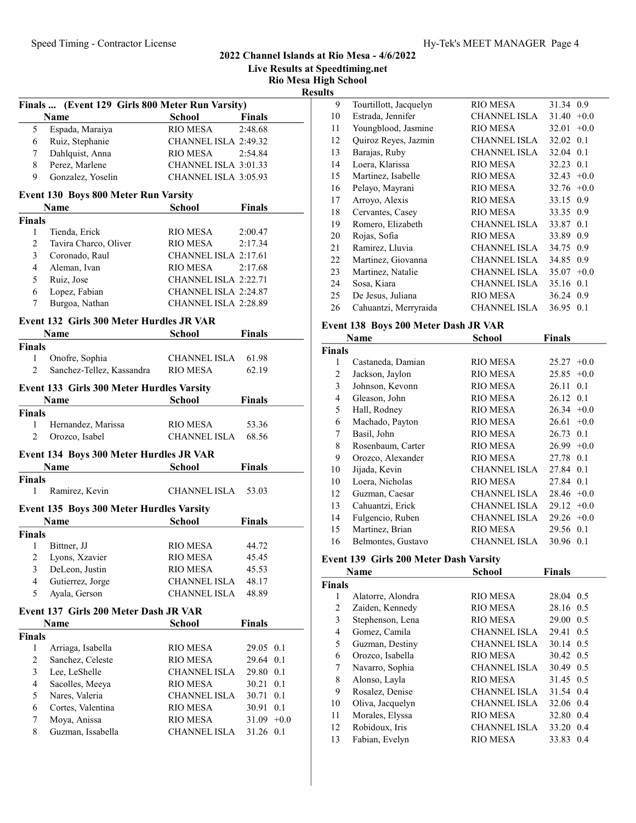Live Results at Speedtiming.net

Rio Mesa High School Results

|                | Finals  (Event 129 Girls 800 Meter Run Varsity) |                      |               |     |
|----------------|-------------------------------------------------|----------------------|---------------|-----|
|                | Name                                            | <b>School</b>        | <b>Finals</b> |     |
| 5              | Espada, Maraiya                                 | RIO MESA             | 2:48.68       |     |
| 6              | Ruiz, Stephanie                                 | CHANNEL ISLA 2:49.32 |               |     |
| 7              | Dahlquist, Anna                                 | RIO MESA             | 2:54.84       |     |
| 8              | Perez, Marlene                                  | CHANNEL ISLA 3:01.33 |               |     |
| 9              | Gonzalez, Yoselin                               | CHANNEL ISLA 3:05.93 |               |     |
|                | <b>Event 130 Boys 800 Meter Run Varsity</b>     |                      |               |     |
|                | <b>Name</b>                                     | <b>School</b>        | <b>Finals</b> |     |
| <b>Finals</b>  |                                                 |                      |               |     |
| 1              | Tienda, Erick                                   | RIO MESA             | 2:00.47       |     |
| $\overline{c}$ | Tavira Charco, Oliver                           | RIO MESA             | 2:17.34       |     |
| 3              | Coronado, Raul                                  | CHANNEL ISLA 2:17.61 |               |     |
| 4              | Aleman, Ivan                                    | <b>RIO MESA</b>      | 2:17.68       |     |
| 5              | Ruiz, Jose                                      | CHANNEL ISLA 2:22.71 |               |     |
| 6              | Lopez, Fabian                                   | CHANNEL ISLA 2:24.87 |               |     |
| 7              | Burgoa, Nathan                                  | CHANNEL ISLA 2:28.89 |               |     |
|                |                                                 |                      |               |     |
|                | Event 132 Girls 300 Meter Hurdles JR VAR        |                      |               |     |
|                | <b>Name</b>                                     | School               | <b>Finals</b> |     |
| <b>Finals</b>  |                                                 |                      |               |     |
| 1              | Onofre, Sophia                                  | CHANNEL ISLA 61.98   |               |     |
| $\overline{c}$ | Sanchez-Tellez, Kassandra                       | <b>RIO MESA</b>      | 62.19         |     |
|                | Event 133 Girls 300 Meter Hurdles Varsity       |                      |               |     |
|                | Name                                            | School               | <b>Finals</b> |     |
| <b>Finals</b>  |                                                 |                      |               |     |
| 1              | Hernandez, Marissa                              | RIO MESA             | 53.36         |     |
| 2              | Orozco, Isabel                                  | <b>CHANNEL ISLA</b>  | 68.56         |     |
|                | Event 134 Boys 300 Meter Hurdles JR VAR         |                      |               |     |
|                | <b>Name</b>                                     | School               | <b>Finals</b> |     |
| <b>Finals</b>  |                                                 |                      |               |     |
| 1              | Ramirez, Kevin                                  | CHANNEL ISLA         | 53.03         |     |
|                | Event 135 Boys 300 Meter Hurdles Varsity        |                      |               |     |
|                | Name                                            | <b>School</b>        | <b>Finals</b> |     |
| <b>Finals</b>  |                                                 |                      |               |     |
| 1              | Bittner, JJ                                     | RIO MESA             | 44.72         |     |
|                | 2 Lyons, Xzavier                                | <b>RIO MESA</b>      | 45.45         |     |
| 3              | DeLeon, Justin                                  | <b>RIO MESA</b>      | 45.53         |     |
| 4              | Gutierrez, Jorge                                | <b>CHANNEL ISLA</b>  | 48.17         |     |
| 5              | Ayala, Gerson                                   | <b>CHANNEL ISLA</b>  | 48.89         |     |
|                | Event 137 Girls 200 Meter Dash JR VAR           |                      |               |     |
|                | Name                                            | School               | <b>Finals</b> |     |
| <b>Finals</b>  |                                                 |                      |               |     |
| 1              | Arriaga, Isabella                               | <b>RIO MESA</b>      | 29.05 0.1     |     |
| 2              | Sanchez, Celeste                                | <b>RIO MESA</b>      | 29.64         | 0.1 |
| 3              | Lee, LeShelle                                   | <b>CHANNEL ISLA</b>  | 29.80         | 0.1 |
| 4              | Sacolles, Meeya                                 | <b>RIO MESA</b>      | 30.21         | 0.1 |
| 5              | Nares, Valeria                                  | <b>CHANNEL ISLA</b>  | 30.71         | 0.1 |
| 6              | Cortes, Valentina                               | <b>RIO MESA</b>      | 30.91         | 0.1 |
| 7              | Moya, Anissa                                    | <b>RIO MESA</b>      | $31.09 + 0.0$ |     |
| 8              | Guzman, Issabella                               | CHANNEL ISLA         | 31.26 0.1     |     |
|                |                                                 |                      |               |     |
|                |                                                 |                      |               |     |

| 9  | Tourtillott, Jacquelyn | RIO MESA            | 31.34 0.9       |
|----|------------------------|---------------------|-----------------|
| 10 | Estrada, Jennifer      | <b>CHANNEL ISLA</b> | 31.40<br>$+0.0$ |
| 11 | Youngblood, Jasmine    | RIO MESA            | 32.01<br>$+0.0$ |
| 12 | Quiroz Reyes, Jazmin   | CHANNEL ISLA        | 32.02<br>0.1    |
| 13 | Barajas, Ruby          | CHANNEL ISLA        | 32.04<br>0.1    |
| 14 | Loera, Klarissa        | RIO MESA            | 32.23<br>0.1    |
| 15 | Martinez, Isabelle     | <b>RIO MESA</b>     | 32.43<br>$+0.0$ |
| 16 | Pelayo, Mayrani        | <b>RIO MESA</b>     | $+0.0$<br>32.76 |
| 17 | Arroyo, Alexis         | <b>RIO MESA</b>     | 33.15<br>0.9    |
| 18 | Cervantes, Casey       | RIO MESA            | 33.35 0.9       |
| 19 | Romero, Elizabeth      | CHANNEL ISLA        | 33.87 0.1       |
| 20 | Rojas, Sofia           | RIO MESA            | 33.89 0.9       |
| 21 | Ramirez, Lluvia        | CHANNEL ISLA        | 34.75 0.9       |
| 22 | Martinez, Giovanna     | CHANNEL ISLA        | 34.85<br>0.9    |
| 23 | Martinez, Natalie      | CHANNEL ISLA        | 35.07<br>$+0.0$ |
| 24 | Sosa, Kiara            | CHANNEL ISLA        | 35.16 0.1       |
| 25 | De Jesus, Juliana      | RIO MESA            | 36.24 0.9       |
| 26 | Cahuantzi, Merryraida  | CHANNEL ISLA        | 36.95<br>0.1    |
|    |                        |                     |                 |

### Event 138 Boys 200 Meter Dash JR VAR

|       | Name               | School              | <b>Finals</b>   |
|-------|--------------------|---------------------|-----------------|
| inals |                    |                     |                 |
| 1     | Castaneda, Damian  | RIO MESA            | $+0.0$<br>25.27 |
| 2     | Jackson, Jaylon    | <b>RIO MESA</b>     | $+0.0$<br>25.85 |
| 3     | Johnson, Kevonn    | <b>RIO MESA</b>     | 26.11 0.1       |
| 4     | Gleason, John      | <b>RIO MESA</b>     | 26.12 0.1       |
| 5     | Hall, Rodney       | RIO MESA            | $26.34 + 0.0$   |
| 6     | Machado, Payton    | RIO MESA            | 26.61<br>$+0.0$ |
| 7     | Basil, John        | RIO MESA            | 26.73 0.1       |
| 8     | Rosenbaum, Carter  | RIO MESA            | 26.99<br>$+0.0$ |
| 9     | Orozco, Alexander  | RIO MESA            | 27.78 0.1       |
| 10    | Jijada, Kevin      | CHANNEL ISLA        | 27.84 0.1       |
| 10    | Loera, Nicholas    | RIO MESA            | 27.84 0.1       |
| 12    | Guzman, Caesar     | CHANNEL ISLA        | $28.46 + 0.0$   |
| 13    | Cahuantzi, Erick   | CHANNEL ISLA        | $29.12 +0.0$    |
| 14    | Fulgencio, Ruben   | CHANNEL ISLA        | $29.26 +0.0$    |
| 15    | Martinez, Brian    | RIO MESA            | 29.56 0.1       |
| 16    | Belmontes, Gustavo | <b>CHANNEL ISLA</b> | 30.96 0.1       |

### Event 139 Girls 200 Meter Dash Varsity

|               | Name              | School              | <b>Finals</b> |
|---------------|-------------------|---------------------|---------------|
| <b>Finals</b> |                   |                     |               |
| 1             | Alatorre, Alondra | RIO MESA            | 28.04 0.5     |
| 2             | Zaiden, Kennedy   | RIO MESA            | 28.16 0.5     |
| 3             | Stephenson, Lena  | RIO MESA            | 29.00 0.5     |
| 4             | Gomez, Camila     | <b>CHANNEL ISLA</b> | 29.41 0.5     |
| 5             | Guzman, Destiny   | <b>CHANNEL ISLA</b> | 30.14 0.5     |
| 6             | Orozco, Isabella  | RIO MESA            | 30.42 0.5     |
| 7             | Navarro, Sophia   | <b>CHANNEL ISLA</b> | 30.49 0.5     |
| 8             | Alonso, Layla     | RIO MESA            | 31.45 0.5     |
| 9             | Rosalez, Denise   | <b>CHANNEL ISLA</b> | 31.54 0.4     |
| 10            | Oliva, Jacquelyn  | <b>CHANNEL ISLA</b> | 32.06 0.4     |
| 11            | Morales, Elyssa   | RIO MESA            | 32.80<br>0.4  |
| 12            | Robidoux, Iris    | <b>CHANNEL ISLA</b> | 33.20 0.4     |
| 13            | Fabian, Evelyn    | RIO MESA            | 33.83<br>0.4  |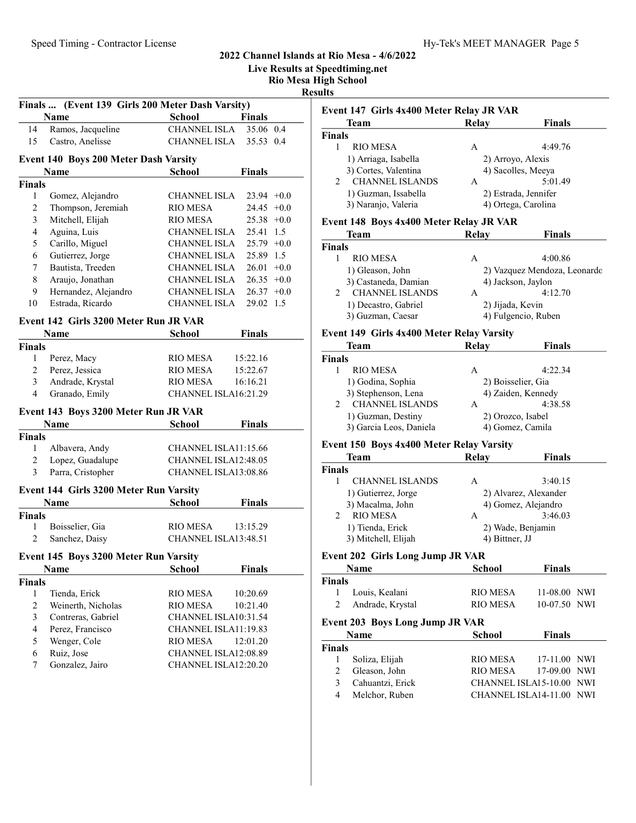Live Results at Speedtiming.net

Rio Mesa High School

Results

|                | Finals  (Event 139 Girls 200 Meter Dash Varsity) |                      |               |        |
|----------------|--------------------------------------------------|----------------------|---------------|--------|
|                | <b>Name</b>                                      | School               | <b>Finals</b> |        |
| 14             | Ramos, Jacqueline                                | <b>CHANNEL ISLA</b>  | 35.06 0.4     |        |
| 15             | Castro, Anelisse                                 | <b>CHANNEL ISLA</b>  | 35.53 0.4     |        |
|                | Event 140 Boys 200 Meter Dash Varsity            |                      |               |        |
|                | Name                                             | <b>School</b>        | <b>Finals</b> |        |
| <b>Finals</b>  |                                                  |                      |               |        |
| 1              | Gomez, Alejandro                                 | CHANNEL ISLA         | $23.94 +0.0$  |        |
| $\overline{c}$ | Thompson, Jeremiah                               | RIO MESA             | 24.45         | $+0.0$ |
| 3              | Mitchell, Elijah                                 | RIO MESA             | $25.38 +0.0$  |        |
| $\overline{4}$ | Aguina, Luis                                     | <b>CHANNEL ISLA</b>  | 25.41         | 1.5    |
| 5              | Carillo, Miguel                                  | <b>CHANNEL ISLA</b>  | $25.79 +0.0$  |        |
| 6              | Gutierrez, Jorge                                 | CHANNEL ISLA         | 25.89 1.5     |        |
| 7              | Bautista, Treeden                                | CHANNEL ISLA         | $26.01 + 0.0$ |        |
| 8              | Araujo, Jonathan                                 | CHANNEL ISLA         | $26.35 +0.0$  |        |
| 9              | Hernandez, Alejandro                             | <b>CHANNEL ISLA</b>  | $26.37 +0.0$  |        |
| 10             | Estrada, Ricardo                                 | <b>CHANNEL ISLA</b>  | 29.02 1.5     |        |
|                |                                                  |                      |               |        |
|                | Event 142 Girls 3200 Meter Run JR VAR            |                      |               |        |
|                | Name                                             | School               | <b>Finals</b> |        |
| <b>Finals</b>  |                                                  |                      |               |        |
| 1              | Perez, Macy                                      | <b>RIO MESA</b>      | 15:22.16      |        |
| $\overline{2}$ | Perez, Jessica                                   | RIO MESA             | 15:22.67      |        |
| 3              | Andrade, Krystal                                 | <b>RIO MESA</b>      | 16:16.21      |        |
| 4              | Granado, Emily                                   | CHANNEL ISLA16:21.29 |               |        |
|                | Event 143 Boys 3200 Meter Run JR VAR             |                      |               |        |
|                | <b>Name</b>                                      | <b>School</b>        | <b>Finals</b> |        |
| <b>Finals</b>  |                                                  |                      |               |        |
| 1              | Albavera, Andy                                   | CHANNEL ISLA11:15.66 |               |        |
| 2              | Lopez, Guadalupe                                 | CHANNEL ISLA12:48.05 |               |        |
| 3              | Parra, Cristopher                                | CHANNEL ISLA13:08.86 |               |        |
|                | Event 144 Girls 3200 Meter Run Varsity           |                      |               |        |
|                | Name                                             | <b>School</b>        | Finals        |        |
| <b>Finals</b>  |                                                  |                      |               |        |
| 1              | Boisselier, Gia                                  | <b>RIO MESA</b>      | 13:15.29      |        |
| $\overline{c}$ | Sanchez, Daisy                                   | CHANNEL ISLA13:48.51 |               |        |
|                |                                                  |                      |               |        |
|                | Event 145 Boys 3200 Meter Run Varsity            |                      |               |        |
|                | Name                                             | <b>School</b>        | <b>Finals</b> |        |
| <b>Finals</b>  |                                                  |                      |               |        |
| 1              | Tienda, Erick                                    | <b>RIO MESA</b>      | 10:20.69      |        |
| $\overline{c}$ | Weinerth, Nicholas                               | <b>RIO MESA</b>      | 10:21.40      |        |
| 3              | Contreras, Gabriel                               | CHANNEL ISLA10:31.54 |               |        |
| $\overline{4}$ | Perez, Francisco                                 | CHANNEL ISLA11:19.83 |               |        |
| 5              | Wenger, Cole                                     | <b>RIO MESA</b>      | 12:01.20      |        |
| 6              | Ruiz, Jose                                       | CHANNEL ISLA12:08.89 |               |        |
| 7              | Gonzalez, Jairo                                  | CHANNEL ISLA12:20.20 |               |        |
|                |                                                  |                      |               |        |

|                         | Event 147 Girls 4x400 Meter Relay JR VAR        |                    |                                             |
|-------------------------|-------------------------------------------------|--------------------|---------------------------------------------|
|                         | <b>Team</b>                                     | <b>Relay</b>       | Finals                                      |
| Finals<br>1             |                                                 |                    |                                             |
|                         | <b>RIO MESA</b>                                 | А                  | 4:49.76                                     |
|                         | 1) Arriaga, Isabella<br>3) Cortes, Valentina    | 2) Arroyo, Alexis  |                                             |
| 2                       | <b>CHANNEL ISLANDS</b>                          | A                  | 4) Sacolles, Meeya<br>5:01.49               |
|                         |                                                 |                    |                                             |
|                         | 1) Guzman, Issabella<br>3) Naranjo, Valeria     |                    | 2) Estrada, Jennifer<br>4) Ortega, Carolina |
|                         |                                                 |                    |                                             |
|                         | Event 148 Boys 4x400 Meter Relay JR VAR         |                    |                                             |
|                         | <b>Team</b>                                     | Relay              | Finals                                      |
| Finals                  |                                                 |                    |                                             |
| 1                       | <b>RIO MESA</b>                                 | А                  | 4:00.86                                     |
|                         | 1) Gleason, John                                |                    | 2) Vazquez Mendoza, Leonardo                |
|                         | 3) Castaneda, Damian                            |                    | 4) Jackson, Jaylon                          |
| 2                       | <b>CHANNEL ISLANDS</b>                          | A                  | 4:12.70                                     |
|                         | 1) Decastro, Gabriel                            | 2) Jijada, Kevin   |                                             |
|                         | 3) Guzman, Caesar                               |                    | 4) Fulgencio, Ruben                         |
|                         | Event 149 Girls 4x400 Meter Relay Varsity       |                    |                                             |
|                         | Team                                            | <b>Relay</b>       | Finals                                      |
| Finals                  |                                                 |                    |                                             |
| 1                       | <b>RIO MESA</b>                                 | А                  | 4:22.34                                     |
|                         | 1) Godina, Sophia                               | 2) Boisselier, Gia |                                             |
|                         | 3) Stephenson, Lena                             |                    | 4) Zaiden, Kennedy                          |
| 2                       | <b>CHANNEL ISLANDS</b>                          | A                  | 4:38.58                                     |
|                         | 1) Guzman, Destiny                              | 2) Orozco, Isabel  |                                             |
|                         | 3) Garcia Leos, Daniela                         |                    | 4) Gomez, Camila                            |
|                         |                                                 |                    |                                             |
|                         | <b>Event 150 Boys 4x400 Meter Relay Varsity</b> |                    |                                             |
|                         | <b>Team</b>                                     | Relay              | <b>Finals</b>                               |
|                         |                                                 |                    |                                             |
| 1                       | <b>CHANNEL ISLANDS</b>                          | A                  | 3:40.15                                     |
|                         | 1) Gutierrez, Jorge                             |                    | 2) Alvarez, Alexander                       |
|                         | 3) Macalma, John                                |                    | 4) Gomez, Alejandro                         |
| 2                       | <b>RIO MESA</b>                                 | A                  | 3:46.03                                     |
|                         | 1) Tienda, Erick                                |                    | 2) Wade, Benjamin                           |
|                         | 3) Mitchell, Elijah                             | 4) Bittner, JJ     |                                             |
|                         | <b>Event 202 Girls Long Jump JR VAR</b>         |                    |                                             |
|                         | Name                                            | <b>School</b>      | <b>Finals</b>                               |
| Finals<br><b>Finals</b> |                                                 |                    |                                             |
| 1                       | Louis, Kealani                                  | <b>RIO MESA</b>    | 11-08.00 NWI                                |
| 2                       | Andrade, Krystal                                | <b>RIO MESA</b>    | 10-07.50 NWI                                |
|                         |                                                 |                    |                                             |
|                         | <b>Event 203 Boys Long Jump JR VAR</b><br>Name  | <b>School</b>      | <b>Finals</b>                               |
| Finals                  |                                                 |                    |                                             |
| 1                       |                                                 | <b>RIO MESA</b>    | 17-11.00 NWI                                |
| $\mathfrak{2}$          | Soliza, Elijah<br>Gleason, John                 | RIO MESA           | 17-09.00 NWI                                |
| $\mathfrak{Z}$          | Cahuantzi, Erick                                |                    | CHANNEL ISLA15-10.00 NWI                    |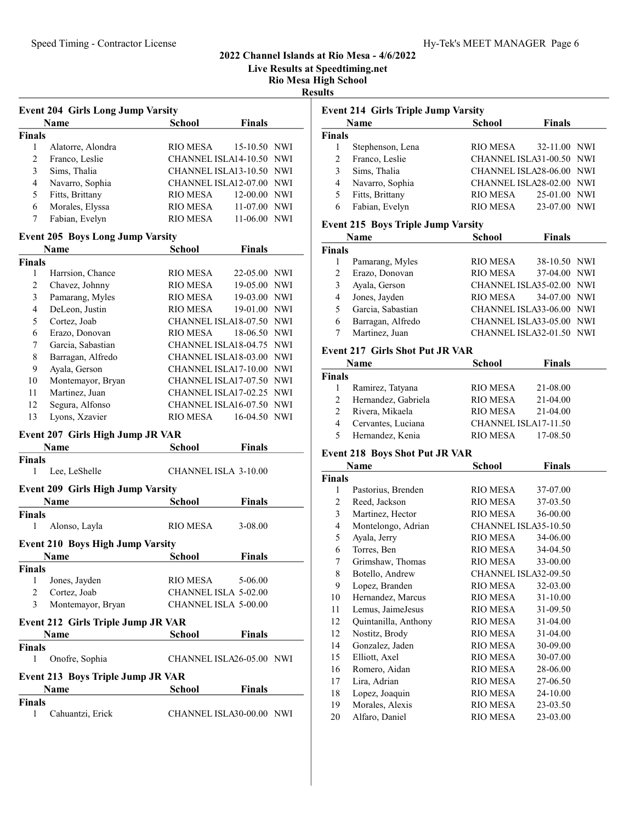Live Results at Speedtiming.net

Rio Mesa High School

Results

Event 214 Girls Triple Jump Varsity

| Name           |                   | School          | <b>Finals</b>            |
|----------------|-------------------|-----------------|--------------------------|
| <b>Finals</b>  |                   |                 |                          |
|                | Alatorre, Alondra | RIO MESA        | 15-10.50 NWI             |
| $\mathfrak{D}$ | Franco, Leslie    |                 | CHANNEL ISLA14-10.50 NWI |
| 3              | Sims, Thalia      |                 | CHANNEL ISLA13-10.50 NWI |
| 4              | Navarro, Sophia   |                 | CHANNEL ISLA12-07.00 NWI |
| 5              | Fitts, Brittany   | <b>RIO MESA</b> | 12-00.00 NWI             |
| 6              | Morales, Elyssa   | RIO MESA        | 11-07.00 NWI             |
|                | Fabian, Evelyn    | RIO MESA        | $11-06.00$<br>NWI        |
|                |                   |                 |                          |

## Event 205 Boys Long Jump Varsity

|        | <b>Name</b>       | <b>School</b>            | <b>Finals</b> |     |
|--------|-------------------|--------------------------|---------------|-----|
| Finals |                   |                          |               |     |
|        | Harrsion, Chance  | <b>RIO MESA</b>          | 22-05.00 NWI  |     |
| 2      | Chavez, Johnny    | RIO MESA                 | 19-05.00 NWI  |     |
| 3      | Pamarang, Myles   | RIO MESA                 | 19-03.00 NWI  |     |
| 4      | DeLeon, Justin    | RIO MESA                 | 19-01.00 NWI  |     |
| 5      | Cortez, Joab      | CHANNEL ISLA18-07.50 NWI |               |     |
| 6      | Erazo, Donovan    | RIO MESA                 | 18-06.50 NWI  |     |
| 7      | Garcia, Sabastian | CHANNEL ISLA18-04.75 NWI |               |     |
| 8      | Barragan, Alfredo | CHANNEL ISLA18-03.00 NWI |               |     |
| 9      | Ayala, Gerson     | CHANNEL ISLA17-10.00 NWI |               |     |
| 10     | Montemayor, Bryan | CHANNEL ISLA17-07.50 NWI |               |     |
| 11     | Martinez, Juan    | CHANNEL ISLA17-02.25 NWI |               |     |
| 12     | Segura, Alfonso   | CHANNEL ISLA16-07.50 NWI |               |     |
| 13     | Lyons, Xzavier    | <b>RIO MESA</b>          | 16-04.50      | NWI |

#### Event 207 Girls High Jump JR VAR

|                                          | Name                                      | <b>School</b>               | <b>Finals</b> |  |
|------------------------------------------|-------------------------------------------|-----------------------------|---------------|--|
| Finals                                   |                                           |                             |               |  |
| 1                                        | Lee, LeShelle                             | CHANNEL ISLA 3-10.00        |               |  |
|                                          | <b>Event 209 Girls High Jump Varsity</b>  |                             |               |  |
|                                          | Name                                      | School                      | <b>Finals</b> |  |
| Finals                                   |                                           |                             |               |  |
| 1                                        | Alonso, Layla                             | RIO MESA                    | $3 - 08.00$   |  |
|                                          | Event 210 Boys High Jump Varsity          |                             |               |  |
|                                          | Name                                      | <b>School</b>               | <b>Finals</b> |  |
| Finals                                   |                                           |                             |               |  |
| 1                                        | Jones, Jayden                             | RIO MESA 5-06.00            |               |  |
| 2                                        | Cortez, Joab                              | <b>CHANNEL ISLA 5-02.00</b> |               |  |
| 3                                        | Montemayor, Bryan                         | <b>CHANNEL ISLA 5-00.00</b> |               |  |
|                                          | <b>Event 212 Girls Triple Jump JR VAR</b> |                             |               |  |
|                                          | <b>Name</b>                               | School                      | <b>Finals</b> |  |
| Finals                                   |                                           |                             |               |  |
| 1                                        | Onofre, Sophia                            | CHANNEL ISLA26-05.00 NWI    |               |  |
| <b>Event 213 Boys Triple Jump JR VAR</b> |                                           |                             |               |  |
|                                          | <b>Name</b>                               | <b>School</b>               | <b>Finals</b> |  |
| Finals                                   |                                           |                             |               |  |
| 1                                        | Cahuantzi, Erick                          | CHANNEL ISLA30-00.00 NWI    |               |  |

|               | Name             | <b>School</b>            | <b>Finals</b> |  |
|---------------|------------------|--------------------------|---------------|--|
| <b>Finals</b> |                  |                          |               |  |
|               | Stephenson, Lena | <b>RIO MESA</b>          | 32-11.00 NWI  |  |
| 2             | Franco, Leslie   | CHANNEL ISLA31-00.50 NWI |               |  |
| 3             | Sims, Thalia     | CHANNEL ISLA28-06.00 NWI |               |  |
| 4             | Navarro, Sophia  | CHANNEL ISLA28-02.00 NWI |               |  |
| 5             | Fitts, Brittany  | <b>RIO MESA</b>          | 25-01.00 NWI  |  |
| 6             | Fabian, Evelyn   | RIO MESA                 | 23-07.00 NWI  |  |

### Event 215 Boys Triple Jump Varsity

|               | Name              | <b>School</b>            | <b>Finals</b> |  |
|---------------|-------------------|--------------------------|---------------|--|
| <b>Finals</b> |                   |                          |               |  |
|               | Pamarang, Myles   | RIO MESA                 | 38-10.50 NWI  |  |
| 2             | Erazo, Donovan    | <b>RIO MESA</b>          | 37-04.00 NWI  |  |
| 3             | Ayala, Gerson     | CHANNEL ISLA35-02.00 NWI |               |  |
| 4             | Jones, Jayden     | RIO MESA                 | 34-07.00 NWI  |  |
| 5             | Garcia, Sabastian | CHANNEL ISLA33-06.00 NWI |               |  |
| 6             | Barragan, Alfredo | CHANNEL ISLA33-05.00 NWI |               |  |
|               | Martinez, Juan    | CHANNEL ISLA32-01.50 NWI |               |  |

### Event 217 Girls Shot Put JR VAR

|               | Name                | <b>School</b>        | <b>Finals</b> |  |
|---------------|---------------------|----------------------|---------------|--|
| <b>Finals</b> |                     |                      |               |  |
|               | Ramirez, Tatyana    | RIO MESA             | 21-08.00      |  |
| 2             | Hernandez, Gabriela | RIO MESA             | 21-04.00      |  |
|               | Rivera, Mikaela     | RIO MESA             | 21-04.00      |  |
|               | Cervantes, Luciana  | CHANNEL ISLA17-11.50 |               |  |
| 5             | Hernandez, Kenia    | RIO MESA             | 17-08.50      |  |

# Event 218 Boys Shot Put JR VAR

|        | Name                 | School               | <b>Finals</b> |  |
|--------|----------------------|----------------------|---------------|--|
| Finals |                      |                      |               |  |
| 1      | Pastorius, Brenden   | RIO MESA             | 37-07.00      |  |
| 2      | Reed, Jackson        | RIO MESA             | 37-03.50      |  |
| 3      | Martinez, Hector     | RIO MESA             | 36-00.00      |  |
| 4      | Montelongo, Adrian   | CHANNEL ISLA35-10.50 |               |  |
| 5      | Ayala, Jerry         | RIO MESA             | 34-06.00      |  |
| 6      | Torres, Ben          | RIO MESA             | 34-04.50      |  |
| 7      | Grimshaw, Thomas     | <b>RIO MESA</b>      | 33-00.00      |  |
| 8      | Botello, Andrew      | CHANNEL ISLA32-09.50 |               |  |
| 9      | Lopez, Branden       | RIO MESA             | 32-03.00      |  |
| 10     | Hernandez, Marcus    | RIO MESA             | 31-10.00      |  |
| 11     | Lemus, JaimeJesus    | RIO MESA             | 31-09.50      |  |
| 12     | Quintanilla, Anthony | RIO MESA             | $31 - 04.00$  |  |
| 12     | Nostitz, Brody       | <b>RIO MESA</b>      | 31-04.00      |  |
| 14     | Gonzalez, Jaden      | <b>RIO MESA</b>      | 30-09.00      |  |
| 15     | Elliott, Axel        | RIO MESA             | 30-07.00      |  |
| 16     | Romero, Aidan        | RIO MESA             | 28-06.00      |  |
| 17     | Lira, Adrian         | <b>RIO MESA</b>      | 27-06.50      |  |
| 18     | Lopez, Joaquin       | <b>RIO MESA</b>      | 24-10.00      |  |
| 19     | Morales, Alexis      | <b>RIO MESA</b>      | 23-03.50      |  |
| 20     | Alfaro, Daniel       | <b>RIO MESA</b>      | 23-03.00      |  |